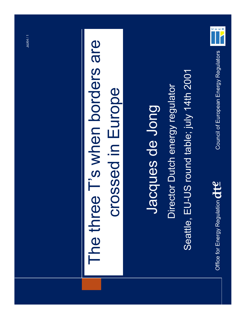

### The three Tís when borders are The three T's when borders are crossed in Europe crossed in Europe

#### Seattle, EU-US round table; july 14th 2001 Seattle, EU-US round table; july 14th 2001Director Dutch energy regulator Director Dutch energy regulator Jacques de Jong Jacques de Jong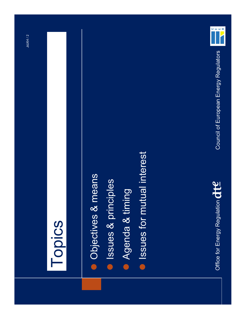

### Topics

- Objectives & means **Objectives & means**
- **Issues & principles Issues & principles**
- Agenda & timing **• Agenda & timing**
- **e** Issues for mutual interest Issues for mutual interest



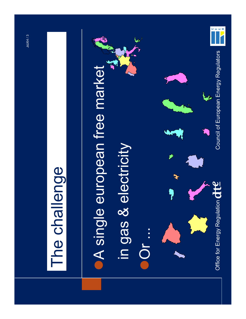

### The challenge The challenge

**. A single european free market A single european free market** 

JdJ64 / 3 JdJ64 / 3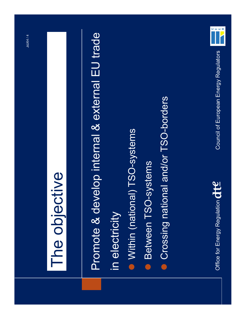### The objective The objective

Promote & develop internal & external EU trade Promote & develop internal & external EU trade in electricity in electricity

- Within (national) TSO-systems Within (national) TSO-systems
- **Between TSO-systems •** Between TSO-systems
- Crossing national and/or TSO-borders **Crossing national and/or TSO-borders**





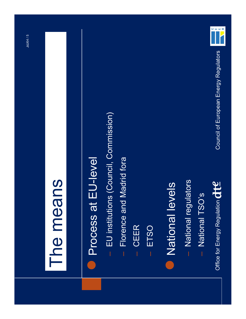

### The means The means

### **Process at EU-level Process at EU-level**

- EU institutions (Council, Commission)  $-$  EU institutions (Council, Commission)
- Florence and Madrid fora ñ Florence and Madrid fora
- CEER ñ CEER
- ñ ETSO
- **National levels** National levels
- National regulators – National regulators
- National TSO's ñ National TSOís

Office for Energy Regulation  $\det$ Office for Energy Regulation

Council of European Energy Regulators Council of European Energy Regulators

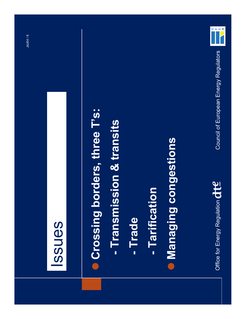

 $\frac{1}{1}$ 

### Issues

- **Crossing borders, three T's: Crossing borders, three Tís:**
	- Transmission & transits **- Transmission & transits**
- **- Trade**
- Tarification **- Tarification**
- **I** Managing congestions **Managing congestions**

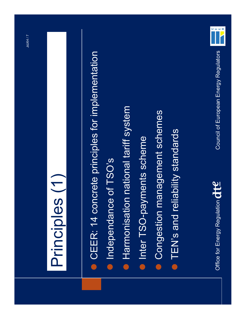

### Principles (1) Principles (1)

- **CEER: 14 concrete principles for implementation •** CEER: 14 concrete principles for implementation
- Independance of TSO's ● Independance of TSO's
- **Harmonisation national tariff system • Harmonisation national tariff system**
- Inter TSO-payments scheme **Inter TSO-payments scheme**
- Congestion management schemes **Congestion management schemes**
- $\bullet$  TEN's and reliability standards **• TEN's and reliability standards**



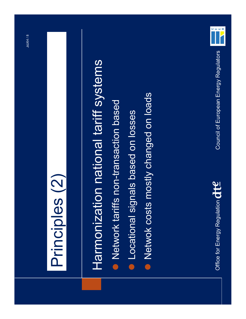

### Principles (2) Principles (2)

# Harmonization national tariff systems Harmonization national tariff systems

- **Network tariffs non-transaction based** Network tariffs non-transaction based
- **Locational signals based on losses Locational signals based on losses**
- Netwok costs mostly changed on loads **• Netwok costs mostly changed on loads**



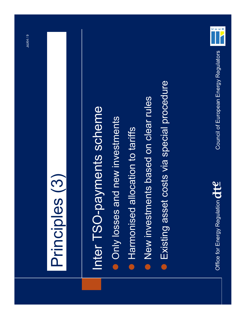

### Principles (3) Principles (3)

## Inter TSO-payments scheme Inter TSO-payments scheme

- **Only losses and new investments Only losses and new investments**
- · Harmonised allocation to tariffs **• Harmonised allocation to tariffs**
- New investments based on clear rules New investments based on clear rules
- **Existing asset costs via special procedure Existing asset costs via special procedure**

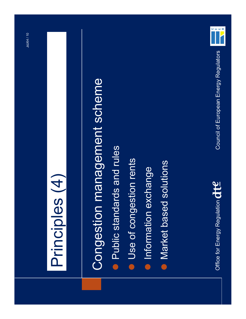

### Principles (4) Principles (4)

# Congestion management scheme Congestion management scheme

- **Public standards and rules** Public standards and rules
- **Use of congestion rents Use of congestion rents**
- **Information exchange Information exchange**
- Market based solutions Market based solutions



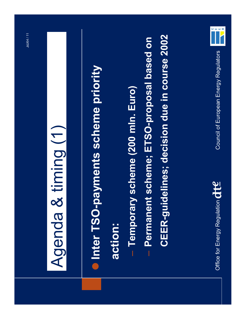## Agenda & timing (1) Agenda & timing (1)

- Inter TSO-payments scheme priority **Inter TSO-payments scheme priority action:**
- Temporary scheme (200 mln. Euro) ñ **Temporary scheme (200 mln. Euro)**
- ñ **Permanent scheme; ETSO-proposal based on**  Permanent scheme; ETSO-proposal based on
- **CEER-guidelines; decision due in course 2002 CEER-guidelines; decision due in course 2002**





Council of European Energy Regulators

Council of European Energy Regulators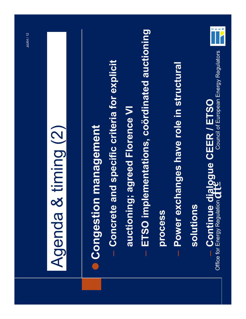## Agenda & timing (2) Agenda & timing (2)

## **Congestion management Congestion management**

- ñ **Concrete and specific criteria for explicit**  Concrete and specific criteria for explicit
- auctioning; agreed Florence VI **auctioning; agreed Florence VI**
- ñ **ETSO implementations, coˆrdinated auctioning**  ETSO implementations, coördinated auctioning
- process **process**
- ñ **Power exchanges have role in structural**  Power exchanges have role in structural

#### solutions **solutions**

Council of European Energy Regulators Council of European Energy Regulators **Continue dialogue CEER / ETSO**<br>Office for Energy Regulation  $\det G$ ñ **Continue dialogue CEER / ETSO**Office for Energy Regulation

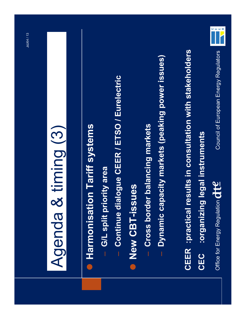## Agenda & timing (3) Agenda & timing (3)

- **Harmonisation Tariff systems Harmonisation Tariff systems**
- G/L split priority area ñ **G/L split priority area**
- Continue dialogue CEER / ETSO / Eurelectric ñ **Continue dialogue CEER / ETSO / Eurelectric**
- New CBT-issues **New CBT-issues**
- Cross border balancing markets ñ **Cross border balancing markets**
- Dynamic capacity markets (peaking power issues) ñ **Dynamic capacity markets (peaking power issues)**

CEER :practical results in consultation with stakeholders **CEER :practical results in consultation with stakeholders** corganizing legal instruments **CEC :organizing legal instrumentsCEC** 



Council of European Energy Regulators Council of European Energy Regulators Office for Energy Regulation **CHE** Office for Energy Regulation